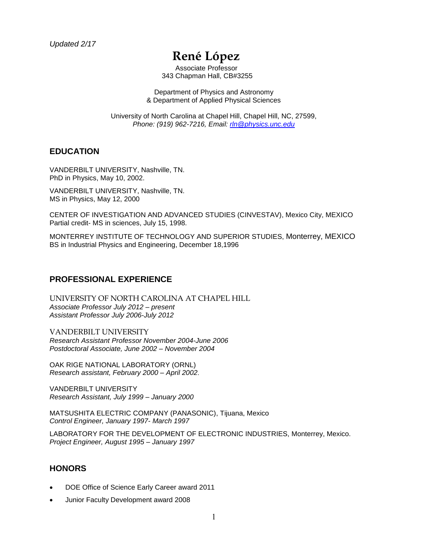# **René López**

Associate Professor 343 Chapman Hall, CB#3255

Department of Physics and Astronomy & Department of Applied Physical Sciences

University of North Carolina at Chapel Hill, Chapel Hill, NC, 27599, *Phone: (919) 962-7216, Email: [rln@physics.unc.edu](mailto:rln@physics.unc.edu)*

#### **EDUCATION**

VANDERBILT UNIVERSITY, Nashville, TN. PhD in Physics, May 10, 2002.

VANDERBILT UNIVERSITY, Nashville, TN. MS in Physics, May 12, 2000

CENTER OF INVESTIGATION AND ADVANCED STUDIES (CINVESTAV), Mexico City, MEXICO Partial credit- MS in sciences, July 15, 1998.

MONTERREY INSTITUTE OF TECHNOLOGY AND SUPERIOR STUDIES, Monterrey, MEXICO BS in Industrial Physics and Engineering, December 18,1996

#### **PROFESSIONAL EXPERIENCE**

UNIVERSITY OF NORTH CAROLINA AT CHAPEL HILL *Associate Professor July 2012 – present Assistant Professor July 2006-July 2012*

VANDERBILT UNIVERSITY *Research Assistant Professor November 2004-June 2006 Postdoctoral Associate, June 2002 – November 2004*

OAK RIGE NATIONAL LABORATORY (ORNL) *Research assistant, February 2000 – April 2002*.

VANDERBILT UNIVERSITY *Research Assistant, July 1999 – January 2000*

MATSUSHITA ELECTRIC COMPANY (PANASONIC), Tijuana, Mexico *Control Engineer, January 1997- March 1997*

LABORATORY FOR THE DEVELOPMENT OF ELECTRONIC INDUSTRIES, Monterrey, Mexico. *Project Engineer, August 1995 – January 1997*

#### **HONORS**

- DOE Office of Science Early Career award 2011
- Junior Faculty Development award 2008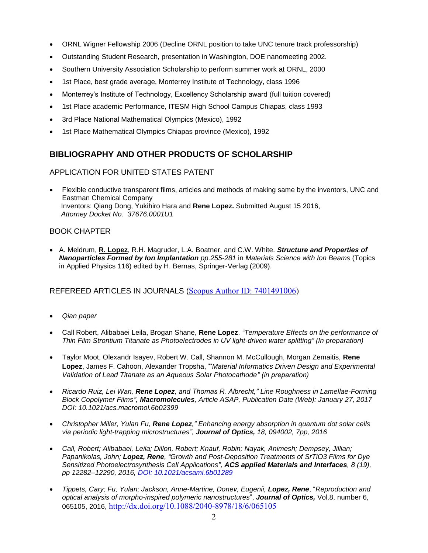- ORNL Wigner Fellowship 2006 (Decline ORNL position to take UNC tenure track professorship)
- Outstanding Student Research, presentation in Washington, DOE nanomeeting 2002.
- Southern University Association Scholarship to perform summer work at ORNL, 2000
- 1st Place, best grade average, Monterrey Institute of Technology, class 1996
- Monterrey's Institute of Technology, Excellency Scholarship award (full tuition covered)
- 1st Place academic Performance, ITESM High School Campus Chiapas, class 1993
- 3rd Place National Mathematical Olympics (Mexico), 1992
- 1st Place Mathematical Olympics Chiapas province (Mexico), 1992

## **BIBLIOGRAPHY AND OTHER PRODUCTS OF SCHOLARSHIP**

#### APPLICATION FOR UNITED STATES PATENT

• Flexible conductive transparent films, articles and methods of making same by the inventors, UNC and Eastman Chemical Company Inventors: Qiang Dong, Yukihiro Hara and **Rene Lopez.** Submitted August 15 2016, *Attorney Docket No. 37676.0001U1*

#### BOOK CHAPTER

• A. Meldrum, **R. Lopez**, R.H. Magruder, L.A. Boatner, and C.W. White. *Structure and Properties of Nanoparticles Formed by Ion Implantation pp.255-281* in *Materials Science with Ion Beams* (Topics in Applied Physics 116) edited by H. Bernas, Springer-Verlag (2009).

#### REFEREED ARTICLES IN JOURNALS ([Scopus Author ID: 7401491006\)](http://www.scopus.com/inward/authorDetails.url?authorID=7401491006&partnerID=MN8TOARS)

- *Qian paper*
- Call Robert, Alibabaei Leila, Brogan Shane, **Rene Lopez**. *"Temperature Effects on the performance of Thin Film Strontium Titanate as Photoelectrodes in UV light-driven water splitting" (In preparation)*
- Taylor Moot, Olexandr Isayev, Robert W. Call, Shannon M. McCullough, Morgan Zemaitis, **Rene Lopez**, James F. Cahoon, Alexander Tropsha, "*Material Informatics Driven Design and Experimental Validation of Lead Titanate as an Aqueous Solar Photocathode" (in preparation)*
- *Ricardo Ruiz, Lei Wan, Rene Lopez, and Thomas R. Albrecht," Line Roughness in Lamellae-Forming Block Copolymer Films", Macromolecules, Article ASAP, Publication Date (Web): January 27, 2017 DOI: 10.1021/acs.macromol.6b02399*
- *Christopher Miller, Yulan Fu, Rene Lopez," Enhancing energy absorption in quantum dot solar cells via periodic light-trapping microstructures", Journal of Optics, 18, 094002, 7pp, 2016*
- *Call, Robert; Alibabaei, Leila; Dillon, Robert; Knauf, Robin; Nayak, Animesh; Dempsey, Jillian; Papanikolas, John; Lopez, Rene, "Growth and Post-Deposition Treatments of SrTiO3 Films for Dye Sensitized Photoelectrosynthesis Cell Applications", ACS applied Materials and Interfaces, 8 (19), pp 12282–12290, 2016, [DOI: 10.1021/acsami.6b01289](doi:%2010.1021/acsami.6b01289)*
- *Tippets, Cary; Fu, Yulan; Jackson, Anne-Martine, Donev, Eugenii, Lopez, Rene*, "*Reproduction and optical analysis of morpho-inspired polymeric nanostructures*", *Journal of Optics,* Vol.8, number 6, 065105, 2016, <http://dx.doi.org/10.1088/2040-8978/18/6/065105>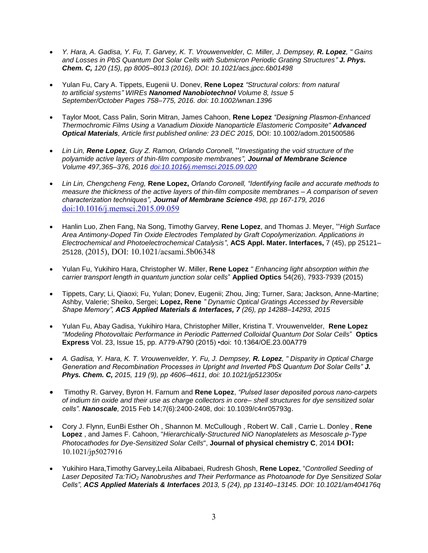- *Y. Hara, A. Gadisa, Y. Fu, T. Garvey, K. T. Vrouwenvelder, C. Miller, J. Dempsey, R. Lopez, " Gains*  and Losses in PbS Quantum Dot Solar Cells with Submicron Periodic Grating Structures" *J. Phys. Chem. C, 120 (15), pp 8005–8013 (2016), DOI: 10.1021/acs.jpcc.6b01498*
- Yulan Fu, Cary A. Tippets, Eugenii U. Donev, **Rene Lopez** *"Structural colors: from natural to artificial systems" WIREs Nanomed Nanobiotechnol Volume 8, Issue 5 September/October Pages 758–775, 2016. doi: 10.1002/wnan.1396*
- Taylor Moot, Cass Palin, Sorin Mitran, James Cahoon, **Rene Lopez** *"Designing Plasmon-Enhanced Thermochromic Films Using a Vanadium Dioxide Nanoparticle Elastomeric Composite" Advanced Optical Materials, Article first published online: 23 DEC 2015,* DOI: 10.1002/adom.201500586
- *Lin Lin, Rene Lopez, Guy Z. Ramon, Orlando Coronell,* "*Investigating the void structure of the polyamide active layers of thin-film composite membranes", Journal of Membrane Science Volume 497,365–376, 2016 [doi:10.1016/j.memsci.2015.09.020](http://dx.doi.org/10.1016/j.memsci.2015.09.020)*
- *Lin Lin, Chengcheng Feng,* **Rene Lopez,** *Orlando Coronell, "Identifying facile and accurate methods to measure the thickness of the active layers of thin-film composite membranes – A comparison of seven characterization techniques", Journal of Membrane Science 498, pp 167-179, 2016*  [doi:10.1016/j.memsci.2015.09.059](http://dx.doi.org/10.1016/j.memsci.2015.09.059)
- Hanlin Luo, Zhen Fang, Na Song, Timothy Garvey, **Rene Lopez**, and Thomas J. Meyer, "*High Surface Area Antimony-Doped Tin Oxide Electrodes Templated by Graft Copolymerization. Applications in Electrochemical and Photoelectrochemical Catalysis"*, **ACS Appl. Mater. Interfaces,** 7 (45), pp 25121– 25128, (2015), DOI: 10.1021/acsami.5b06348
- Yulan Fu, Yukihiro Hara, Christopher W. Miller, **Rene Lopez** *" Enhancing light absorption within the carrier transport length in quantum junction solar cells*" **Applied Optics** 54(26), 7933-7939 (2015)
- Tippets, Cary; Li, Qiaoxi; Fu, Yulan; Donev, Eugenii; Zhou, Jing; Turner, Sara; Jackson, Anne-Martine; Ashby, Valerie; Sheiko, Sergei; **Lopez, Rene** *" Dynamic Optical Gratings Accessed by Reversible Shape Memory", ACS Applied Materials & Interfaces, 7 (26), pp 14288–14293, 2015*
- Yulan Fu, Abay Gadisa, Yukihiro Hara, Christopher Miller, Kristina T. Vrouwenvelder, **Rene Lopez**  *"Modeling Photovoltaic Performance in Periodic Patterned Colloidal Quantum Dot Solar Cells*" **Optics Express** Vol. 23, Issue 15, pp. A779-A790 (2015) •doi: 10.1364/OE.23.00A779
- *A. Gadisa, Y. Hara, K. T. Vrouwenvelder, Y. Fu, J. Dempsey, R. Lopez, " Disparity in Optical Charge Generation and Recombination Processes in Upright and Inverted PbS Quantum Dot Solar Cells" J. Phys. Chem. C, 2015, 119 (9), pp 4606–4611, doi: 10.1021/jp512305x*
- Timothy R. Garvey, Byron H. Farnum and **Rene Lopez**, *"Pulsed laser deposited porous nano-carpets of indium tin oxide and their use as charge collectors in core– shell structures for dye sensitized solar cells". Nanoscale,* 2015 Feb 14;7(6):2400-2408, doi: 10.1039/c4nr05793g.
- Cory J. Flynn, EunBi Esther Oh , Shannon M. McCullough , Robert W. Call , Carrie L. Donley , **Rene Lopez** , and James F. Cahoon, "*Hierarchically-Structured NiO Nanoplatelets as Mesoscale p-Type Photocathodes for Dye-Sensitized Solar Cells*", **Journal of physical chemistry C**, 2014 DOI: 10.1021/jp5027916
- Yukihiro Hara,Timothy Garvey,Leila Alibabaei, Rudresh Ghosh, **Rene Lopez**, "*Controlled Seeding of Laser Deposited Ta:TiO<sup>2</sup> Nanobrushes and Their Performance as Photoanode for Dye Sensitized Solar Cells", ACS Applied Materials & Interfaces 2013, 5 (24), pp 13140–13145. DOI: 10.1021/am404176q*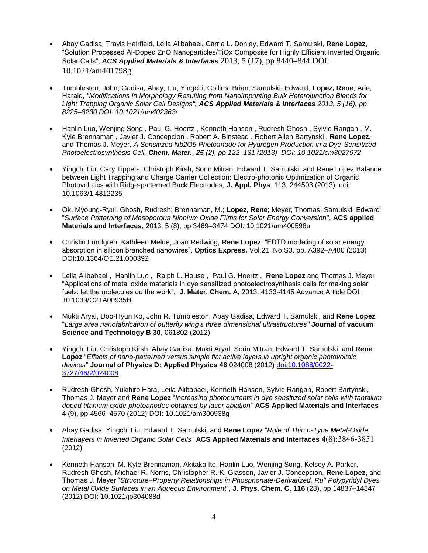- Abay Gadisa, Travis Hairfield, Leila Alibabaei, Carrie L. Donley, Edward T. Samulski, **Rene Lopez**, "Solution Processed Al-Doped ZnO Nanoparticles/TiOx Composite for Highly Efficient Inverted Organic Solar Cells", *ACS Applied Materials & Interfaces* 2013, 5 (17), pp 8440–844 DOI: 10.1021/am401798g
- Tumbleston, John; Gadisa, Abay; Liu, Yingchi; Collins, Brian; Samulski, Edward; **Lopez, Rene**; Ade, Harald, *"Modifications in Morphology Resulting from Nanoimprinting Bulk Heterojunction Blends for Light Trapping Organic Solar Cell Designs", ACS Applied Materials & Interfaces 2013, 5 (16), pp 8225–8230 DOI: 10.1021/am402363r*
- Hanlin Luo, Wenjing Song , Paul G. Hoertz , Kenneth Hanson , Rudresh Ghosh , Sylvie Rangan , M. Kyle Brennaman , Javier J. Concepcion , Robert A. Binstead , Robert Allen Bartynski , **Rene Lopez,** and Thomas J. Meyer, *A Sensitized Nb2O5 Photoanode for Hydrogen Production in a Dye-Sensitized Photoelectrosynthesis Cell, Chem. Mater., 25 (2), pp 122–131 (2013) DOI: 10.1021/cm3027972*
- Yingchi Liu, Cary Tippets, Christoph Kirsh, Sorin Mitran, Edward T. Samulski, and Rene Lopez Balance between Light Trapping and Charge Carrier Collection: Electro-photonic Optimization of Organic Photovoltaics with Ridge-patterned Back Electrodes, **J. Appl. Phys**. 113, 244503 (2013); doi: 10.1063/1.4812235
- Ok, Myoung-Ryul; Ghosh, Rudresh; Brennaman, M.; **Lopez, Rene**; Meyer, Thomas; Samulski, Edward "*Surface Patterning of Mesoporous Niobium Oxide Films for Solar Energy Conversion*", **ACS applied Materials and Interfaces,** 2013, 5 (8), pp 3469–3474 DOI: 10.1021/am400598u
- Christin Lundgren, Kathleen Melde, Joan Redwing, **Rene Lopez**, "FDTD modeling of solar energy absorption in silicon branched nanowires", **Optics Express.** Vol.21, No.S3, pp. A392–A400 (2013) DOI:10.1364/OE.21.000392
- Leila Alibabaei , Hanlin Luo , Ralph L. House , Paul G. Hoertz , **Rene Lopez** and Thomas J. Meyer "Applications of metal oxide materials in dye sensitized photoelectrosynthesis cells for making solar fuels: let the molecules do the work", **J. Mater. Chem.** A, 2013, 4133-4145 Advance Article DOI: 10.1039/C2TA00935H
- Mukti Aryal, Doo-Hyun Ko, John R. Tumbleston, Abay Gadisa, Edward T. Samulski, and **Rene Lopez** "*Large area nanofabrication of butterfly wing's three dimensional ultrastructures"* **Journal of vacuum Science and Technology B 30**, 061802 (2012)
- Yingchi Liu, Christoph Kirsh, Abay Gadisa, Mukti Aryal, Sorin Mitran, Edward T. Samulski, and **Rene Lopez** "*Effects of nano-patterned versus simple flat active layers in upright organic photovoltaic devices*" **Journal of Physics D: Applied Physics 46** 024008 (2012) [doi:10.1088/0022-](http://dx.doi.org/10.1088/0022-3727/46/2/024008) [3727/46/2/024008](http://dx.doi.org/10.1088/0022-3727/46/2/024008)
- Rudresh Ghosh, Yukihiro Hara, Leila Alibabaei, Kenneth Hanson, Sylvie Rangan, Robert Bartynski, Thomas J. Meyer and **Rene Lopez** "*Increasing photocurrents in dye sensitized solar cells with tantalum doped titanium oxide photoanodes obtained by laser ablation*" **ACS Applied Materials and Interfaces 4** (9), pp 4566–4570 (2012) DOI: 10.1021/am300938g
- Abay Gadisa, Yingchi Liu, Edward T. Samulski, and **Rene Lopez** "*Role of Thin n-Type Metal-Oxide Interlayers in Inverted Organic Solar Cells*" **ACS Applied Materials and Interfaces** 4(8):3846-3851 (2012)
- Kenneth Hanson, M. Kyle Brennaman, Akitaka Ito, Hanlin Luo, Wenjing Song, Kelsey A. Parker, Rudresh Ghosh, Michael R. Norris, Christopher R. K. Glasson, Javier J. Concepcion, **Rene Lopez**, and Thomas J. Meyer "*Structure–Property Relationships in Phosphonate-Derivatized, RuII Polypyridyl Dyes on Metal Oxide Surfaces in an Aqueous Environment*", **J. Phys. Chem. C**, **116** (28), pp 14837–14847 (2012) DOI: 10.1021/jp304088d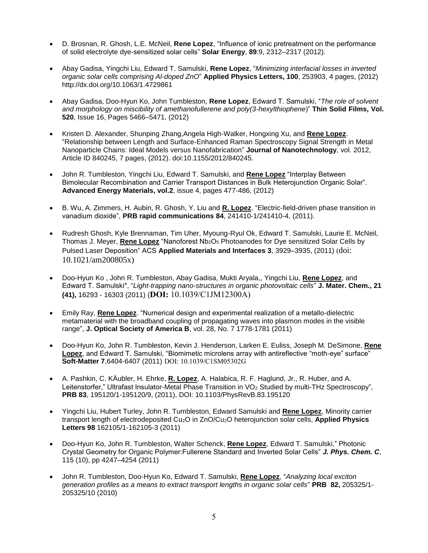- D. Brosnan, R. Ghosh, L.E. McNeil, **Rene Lopez**, "Influence of ionic pretreatment on the performance of solid electrolyte dye-sensitized solar cells" **Solar Energy**, **89**:9, 2312–2317 (2012).
- Abay Gadisa, Yingchi Liu, Edward T. Samulski, **Rene Lopez**, "*Minimizing interfacial losses in inverted organic solar cells comprising Al-doped ZnO*" **Applied Physics Letters, 100**, 253903, 4 pages, (2012) http://dx.doi.org/10.1063/1.4729861
- Abay Gadisa, Doo-Hyun Ko, John Tumbleston, **Rene Lopez**, Edward T. Samulski, "*The role of solvent and morphology on miscibility of amethanofullerene and poly(3-hexylthiophene*)" **Thin Solid Films, Vol. 520**, Issue 16, Pages 5466–5471, (2012)
- Kristen D. Alexander, Shunping Zhang,Angela High-Walker, Hongxing Xu, and **Rene Lopez**. "Relationship between Length and Surface-Enhanced Raman Spectroscopy Signal Strength in Metal Nanoparticle Chains: Ideal Models versus Nanofabrication" **Journal of Nanotechnology**, vol. 2012, Article ID 840245, 7 pages, (2012). doi:10.1155/2012/840245.
- John R. Tumbleston, Yingchi Liu, Edward T. Samulski, and **Rene Lopez** "Interplay Between Bimolecular Recombination and Carrier Transport Distances in Bulk Heterojunction Organic Solar". **Advanced Energy Materials, vol.2**, issue 4, pages 477-486, (2012)
- B. Wu, A. Zimmers, H. Aubin, R. Ghosh, Y. Liu and **R. Lopez**. "Electric-field-driven phase transition in vanadium dioxide", **PRB rapid communications 84**, 241410-1/241410-4, (2011).
- Rudresh Ghosh, Kyle Brennaman, Tim Uher, Myoung-Ryul Ok, Edward T. Samulski, Laurie E. McNeil, Thomas J. Meyer, **Rene Lopez** "Nanoforest Nb2O<sup>5</sup> Photoanodes for Dye sensitized Solar Cells by Pulsed Laser Deposition" ACS **Applied Materials and Interfaces 3**, 3929–3935, (2011) (doi: 10.1021/am200805x)
- Doo-Hyun Ko , John R. Tumbleston, Abay Gadisa, Mukti Aryala,, Yingchi Liu, **Rene Lopez**, and Edward T. Samulski\*, "*Light-trapping nano-structures in organic photovoltaic cells*" **J. Mater. Chem., 21 (41),** 16293 - 16303 (2011) (DOI: 10.1039/C1JM12300A)
- Emily Ray, **Rene Lopez**. "Numerical design and experimental realization of a metallo-dielectric metamaterial with the broadband coupling of propagating waves into plasmon modes in the visible range", **J. Optical Society of America B**, vol. 28, No. 7 1778-1781 (2011)
- Doo-Hyun Ko, John R. Tumbleston, Kevin J. Henderson, Larken E. Euliss, Joseph M. DeSimone, **Rene Lopez**, and Edward T. Samulski, "Biomimetic microlens array with antireflective "moth-eye" surface" **Soft-Matter 7**,6404-6407 (2011) DOI: 10.1039/C1SM05302G
- A. Pashkin, C. KÄubler, H. Ehrke, **R. Lopez**, A. Halabica, R. F. Haglund, Jr., R. Huber, and A. Leitenstorfer," Ultrafast Insulator-Metal Phase Transition in VO<sub>2</sub> Studied by multi-THz Spectroscopy", **PRB 83**, 195120/1-195120/9, (2011), DOI: 10.1103/PhysRevB.83.195120
- Yingchi Liu, Hubert Turley, John R. Tumbleston, Edward Samulski and **Rene Lopez**, Minority carrier transport length of electrodeposited Cu2O in ZnO/Cu2O heterojunction solar cells, **Applied Physics Letters 98** 162105/1-162105-3 (2011)
- Doo-Hyun Ko, John R. Tumbleston, Walter Schenck, **Rene Lopez**, Edward T. Samulski," Photonic Crystal Geometry for Organic Polymer:Fullerene Standard and Inverted Solar Cells" *J. Phys. Chem. C*, 115 (10), pp 4247–4254 (2011)
- John R. Tumbleston, Doo-Hyun Ko, Edward T. Samulski, **Rene Lopez**, "*Analyzing local exciton generation profiles as a means to extract transport lengths in organic solar cells*" **PRB 82,** 205325/1- 205325/10 (2010)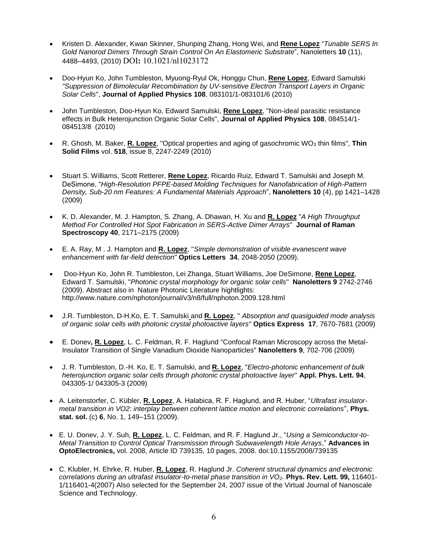- Kristen D. Alexander, Kwan Skinner, Shunping Zhang, Hong Wei, and **Rene Lopez** "*Tunable SERS In Gold Nanorod Dimers Through Strain Control On An Elastomeric Substrate*", Nanoletters **10** (11), 4488–4493, (2010) DOI: 10.1021/nl1023172
- Doo-Hyun Ko, John Tumbleston, Myuong-Ryul Ok, Honggu Chun, **Rene Lopez**, Edward Samulski *"Suppression of Bimolecular Recombination by UV-sensitive Electron Transport Layers in Organic Solar Cells*", **Journal of Applied Physics 108**, 083101/1-083101/6 (2010)
- John Tumbleston, Doo-Hyun Ko, Edward Samulski, **Rene Lopez**, "Non-ideal parasitic resistance effects in Bulk Heterojunction Organic Solar Cells", **Journal of Applied Physics 108**, 084514/1- 084513/8 (2010)
- R. Ghosh, M. Baker, **R. Lopez**, "Optical properties and aging of gasochromic WO<sup>3</sup> thin films", **Thin Solid Films** vol. **518**, issue 8, 2247-2249 (2010)
- Stuart S. Williams, Scott Retterer, **Rene Lopez**, Ricardo Ruiz, Edward T. Samulski and Joseph M. DeSimone, "*High-Resolution PFPE-based Molding Techniques for Nanofabrication of High-Pattern Density, Sub-20 nm Features: A Fundamental Materials Approach*", **Nanoletters 10** (4), pp 1421–1428 (2009)
- K. D. Alexander, M. J. Hampton, S. Zhang, A. Dhawan, H. Xu and **R. Lopez** "*A High Throughput Method For Controlled Hot Spot Fabrication in SERS-Active Dimer Arrays*" **Journal of Raman Spectroscopy 40**, 2171–2175 (2009)
- E. A. Ray, M . J. Hampton and **R. Lopez**, "*Simple demonstration of visible evanescent wave enhancement with far-field detection*" **Optics Letters 34**, 2048-2050 (2009).
- Doo-Hyun Ko, John R. Tumbleston, Lei Zhanga, Stuart Williams, Joe DeSimone, **Rene Lopez**, Edward T. Samulski, "*Photonic crystal morphology for organic solar cells*" **Nanoletters 9** 2742-2746 (2009). Abstract also in Nature Photonic Literature hightlights: http://www.nature.com/nphoton/journal/v3/n8/full/nphoton.2009.128.html
- J.R. Tumbleston, D-H.Ko, E. T. Samulski and **R. Lopez**, " *Absorption and quasiguided mode analysis of organic solar cells with photonic crystal photoactive layers*" **Optics Express 17**, 7670-7681 (2009)
- E. Donev**, R. Lopez**, L. C. Feldman, R. F. Haglund "Confocal Raman Microscopy across the Metal-Insulator Transition of Single Vanadium Dioxide Nanoparticles" **Nanoletters 9**, 702-706 (2009)
- J. R. Tumbleston, D.-H. Ko, E. T. Samulski, and **R. Lopez**, "*Electro-photonic enhancement of bulk heterojunction organic solar cells through photonic crystal photoactive layer*" **Appl. Phys. Lett. 94**, 043305-1/ 043305-3 (2009)
- A. Leitenstorfer, C. Kübler, **R. Lopez**, A. Halabica, R. F. Haglund, and R. Huber, "*Ultrafast insulatormetal transition in VO2: interplay between coherent lattice motion and electronic correlations*", **Phys. stat. sol.** (c) **6**, No. 1, 149–151 (2009).
- E. U. Donev, J. Y. Suh, **R. Lopez**, L. C. Feldman, and R. F. Haglund Jr., "*Using a Semiconductor-to-Metal Transition to Control Optical Transmission through Subwavelength Hole Arrays*," **Advances in OptoElectronics,** vol. 2008, Article ID 739135, 10 pages, 2008. doi:10.1155/2008/739135
- C. Klubler, H. Ehrke, R. Huber, **R. Lopez**, R. Haglund Jr. *Coherent structural dynamics and electronic correlations during an ultrafast insulator-to-metal phase transition in VO2.* **Phys. Rev. Lett. 99,** 116401- 1/116401-4(2007) Also selected for the September 24, 2007 issue of the Virtual Journal of Nanoscale Science and Technology.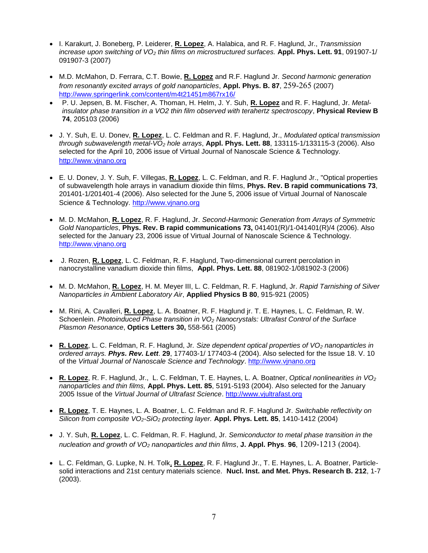- I. Karakurt, J. Boneberg, P. Leiderer, **R. Lopez**, A. Halabica, and R. F. Haglund, Jr., *Transmission increase upon switching of VO<sup>2</sup> thin films on microstructured surfaces.* **Appl. Phys. Lett. 91**, 091907-1/ 091907-3 (2007)
- M.D. McMahon, D. Ferrara, C.T. Bowie, **R. Lopez** and R.F. Haglund Jr. *Second harmonic generation from resonantly excited arrays of gold nanoparticles*, **Appl. Phys. B. 87**, 259-265 (2007) <http://www.springerlink.com/content/m4t21451m867rx16/>
- P. U. Jepsen, B. M. Fischer, A. Thoman, H. Helm, J. Y. Suh, **R. Lopez** and R. F. Haglund, Jr. *Metalinsulator phase transition in a VO2 thin film observed with terahertz spectroscopy*, **Physical Review B 74**, 205103 (2006)
- J. Y. Suh, E. U. Donev, **R. Lopez**, L. C. Feldman and R. F. Haglund, Jr., *Modulated optical transmission through subwavelength metal-VO<sup>2</sup> hole arrays*, **Appl. Phys. Lett. 88**, 133115-1/133115-3 (2006). Also selected for the April 10, 2006 issue of Virtual Journal of Nanoscale Science & Technology. [http://www.vjnano.org](http://www.vjnano.org/)
- E. U. Donev, J. Y. Suh, F. Villegas, **R. Lopez**, L. C. Feldman, and R. F. Haglund Jr., "Optical properties of subwavelength hole arrays in vanadium dioxide thin films, **Phys. Rev. B rapid communications 73**, 201401-1/201401-4 (2006). Also selected for the June 5, 2006 issue of Virtual Journal of Nanoscale Science & Technology. [http://www.vjnano.org](http://www.vjnano.org/)
- M. D. McMahon, **R. Lopez**, R. F. Haglund, Jr. *Second-Harmonic Generation from Arrays of Symmetric Gold Nanoparticles*, **Phys. Rev. B rapid communications 73,** 041401(R)/1-041401(R)/4 (2006). Also selected for the January 23, 2006 issue of Virtual Journal of Nanoscale Science & Technology. [http://www.vjnano.org](http://www.vjnano.org/)
- J. Rozen, **R. Lopez**, L. C. Feldman, R. F. Haglund, Two-dimensional current percolation in nanocrystalline vanadium dioxide thin films, **Appl. Phys. Lett. 88**, 081902-1/081902-3 (2006)
- M. D. McMahon, **R. Lopez**, H. M. Meyer III, L. C. Feldman, R. F. Haglund, Jr. *Rapid Tarnishing of Silver Nanoparticles in Ambient Laboratory Air*, **Applied Physics B 80**, 915-921 (2005)
- M. Rini, A. Cavalleri, **R. Lopez**, L. A. Boatner, R. F. Haglund jr. T. E. Haynes, L. C. Feldman, R. W. Schoenlein. *Photoinduced Phase transition in VO<sup>2</sup> Nanocrystals: Ultrafast Control of the Surface Plasmon Resonance*, **Optics Letters 30,** 558-561 (2005)
- **R. Lopez**, L. C. Feldman, R. F. Haglund, Jr*. Size dependent optical properties of VO<sup>2</sup> nanoparticles in ordered arrays. Phys. Rev. Lett*. **29**, 177403-1/ 177403-4 (2004). Also selected for the Issue 18. V. 10 of the *Virtual Journal of Nanoscale Science and Technology*. [http://www.vjnano.org](http://www.vjnano.org/)
- **R. Lopez**, R. F. Haglund, Jr., L. C. Feldman, T. E. Haynes, L. A. Boatner, *Optical nonlinearities in VO<sup>2</sup> nanoparticles and thin films,* **Appl. Phys. Lett. 85**, 5191-5193 (2004). Also selected for the January 2005 Issue of the *Virtual Journal of Ultrafast Science*. [http://www.vjultrafast.org](http://www.vjultrafast.org/)
- **R. Lopez**, T. E. Haynes, L. A. Boatner, L. C. Feldman and R. F. Haglund Jr. *Switchable reflectivity on Silicon from composite VO2-SiO<sup>2</sup> protecting layer.* **Appl. Phys. Lett. 85**, 1410-1412 (2004)
- J. Y. Suh, **R. Lopez**, L. C. Feldman, R. F. Haglund, Jr. *Semiconductor to metal phase transition in the nucleation and growth of VO<sup>2</sup> nanoparticles and thin films*, **J. Appl. Phys**. **96**, 1209-1213 (2004).
- L. C. Feldman, G. Lupke, N. H. Tolk, **R. Lopez**, R. F. Haglund Jr., T. E. Haynes, L. A. Boatner, Particlesolid interactions and 21st century materials science. **Nucl. Inst. and Met. Phys. Research B. 212**, 1-7 (2003).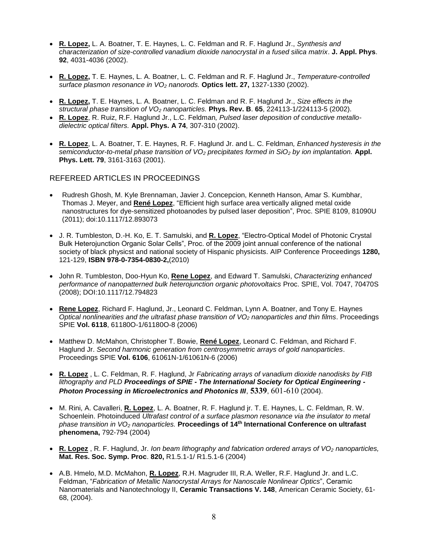- **R. Lopez,** L. A. Boatner, T. E. Haynes, L. C. Feldman and R. F. Haglund Jr., *Synthesis and characterization of size-controlled vanadium dioxide nanocrystal in a fused silica matrix*. **J. Appl. Phys**. **92**, 4031-4036 (2002).
- **R. Lopez,** T. E. Haynes, L. A. Boatner, L. C. Feldman and R. F. Haglund Jr., *Temperature-controlled surface plasmon resonance in VO<sup>2</sup> nanorods.* **Optics lett. 27,** 1327-1330 (2002).
- **R. Lopez,** T. E. Haynes, L. A. Boatner, L. C. Feldman and R. F. Haglund Jr., *Size effects in the structural phase transition of VO<sup>2</sup> nanoparticles.* **Phys. Rev. B**. **65**, 224113-1/224113-5 (2002).
- **R. Lopez**, R. Ruiz, R.F. Haglund Jr., L.C. Feldman*, Pulsed laser deposition of conductive metallodielectric optical filters.* **Appl. Phys. A 74**, 307-310 (2002).
- **R. Lopez**, L. A. Boatner, T. E. Haynes, R. F. Haglund Jr. and L. C. Feldman*, Enhanced hysteresis in the semiconductor-to-metal phase transition of VO<sup>2</sup> precipitates formed in SiO<sup>2</sup> by ion implantation.* **Appl. Phys. Lett. 79**, 3161-3163 (2001).

#### REFEREED ARTICLES IN PROCEEDINGS

- Rudresh Ghosh, M. Kyle Brennaman, Javier J. Concepcion, Kenneth Hanson, Amar S. Kumbhar, Thomas J. Meyer, and **René Lopez**, "Efficient high surface area vertically aligned metal oxide nanostructures for dye-sensitized photoanodes by pulsed laser deposition", Proc. SPIE 8109, 81090U (2011); doi:10.1117/12.893073
- J. R. Tumbleston, D.-H. Ko, E. T. Samulski, and **R. Lopez**, "Electro-Optical Model of Photonic Crystal Bulk Heterojunction Organic Solar Cells", Proc. of the 2009 joint annual conference of the national society of black physicst and national society of Hispanic physicists. AIP Conference Proceedings **1280,**  121-129, **ISBN 978-0-7354-0830-2,**(2010)
- John R. Tumbleston, Doo-Hyun Ko, **Rene Lopez**, and Edward T. Samulski, *Characterizing enhanced performance of nanopatterned bulk heterojunction organic photovoltaics* Proc. SPIE, Vol. 7047, 70470S (2008); DOI:10.1117/12.794823
- **Rene Lopez**, Richard F. Haglund, Jr., Leonard C. Feldman, Lynn A. Boatner, and Tony E. Haynes *Optical nonlinearities and the ultrafast phase transition of VO<sup>2</sup> nanoparticles and thin films*. Proceedings SPIE **Vol. 6118**, 61180O-1/61180O-8 (2006)
- Matthew D. McMahon, Christopher T. Bowie, **René Lopez**, Leonard C. Feldman, and Richard F. Haglund Jr. *Second harmonic generation from centrosymmetric arrays of gold nanoparticles*. Proceedings SPIE **Vol. 6106**, 61061N-1/61061N-6 (2006)
- **R. Lopez** , L. C. Feldman, R. F. Haglund, Jr *Fabricating arrays of vanadium dioxide nanodisks by FIB lithography and PLD Proceedings of SPIE - The International Society for Optical Engineering -* **Photon Processing in Microelectronics and Photonics III, 5339, 601-610 (2004).**
- M. Rini, A. Cavalleri, **R. Lopez**, L. A. Boatner, R. F. Haglund jr. T. E. Haynes, L. C. Feldman, R. W. Schoenlein. Photoinduced *Ultrafast control of a surface plasmon resonance via the insulator to metal phase transition in VO<sup>2</sup> nanoparticles.* **Proceedings of 14th International Conference on ultrafast phenomena,** 792-794 (2004)
- **R. Lopez** , R. F. Haglund, Jr. *Ion beam lithography and fabrication ordered arrays of VO<sup>2</sup> nanoparticles,* **Mat. Res. Soc. Symp. Proc**. **820,** R1.5.1-1/ R1.5.1-6 (2004)
- A.B. Hmelo, M.D. McMahon, **R. Lopez**, R.H. Magruder III, R.A. Weller, R.F. Haglund Jr. and L.C. Feldman, "*Fabrication of Metallic Nanocrystal Arrays for Nanoscale Nonlinear Optics*", Ceramic Nanomaterials and Nanotechnology II, **Ceramic Transactions V. 148**, American Ceramic Society, 61- 68, (2004).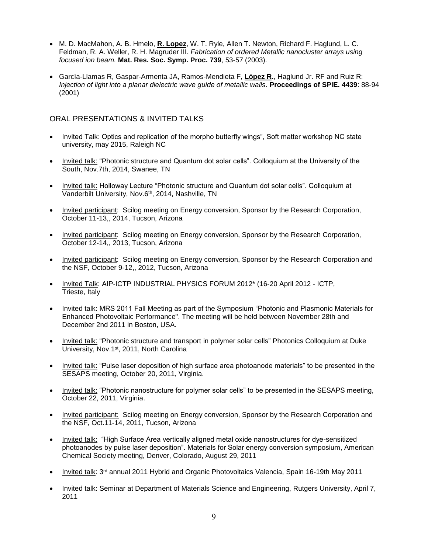- M. D. MacMahon, A. B. Hmelo, **R. Lopez**, W. T. Ryle, Allen T. Newton, Richard F. Haglund, L. C. Feldman, R. A. Weller, R. H. Magruder III. *Fabrication of ordered Metallic nanocluster arrays using focused ion beam.* **Mat. Res. Soc. Symp. Proc. 739**, 53-57 (2003).
- García-Llamas R, Gaspar-Armenta JA, Ramos-Mendieta F, **López R.**, Haglund Jr. RF and Ruiz R: *Injection of light into a planar dielectric wave guide of metallic walls*. **Proceedings of SPIE. 4439**: 88-94 (2001)

#### ORAL PRESENTATIONS & INVITED TALKS

- Invited Talk: Optics and replication of the morpho butterfly wings", Soft matter workshop NC state university, may 2015, Raleigh NC
- Invited talk: "Photonic structure and Quantum dot solar cells". Colloquium at the University of the South, Nov.7th, 2014, Swanee, TN
- Invited talk: Holloway Lecture "Photonic structure and Quantum dot solar cells". Colloquium at Vanderbilt University, Nov.6th, 2014, Nashville, TN
- Invited participant: Scilog meeting on Energy conversion, Sponsor by the Research Corporation, October 11-13,, 2014, Tucson, Arizona
- Invited participant: Scilog meeting on Energy conversion, Sponsor by the Research Corporation, October 12-14,, 2013, Tucson, Arizona
- Invited participant: Scilog meeting on Energy conversion, Sponsor by the Research Corporation and the NSF, October 9-12,, 2012, Tucson, Arizona
- Invited Talk: AIP-ICTP INDUSTRIAL PHYSICS FORUM 2012\* (16-20 April 2012 ICTP, Trieste, Italy
- Invited talk: MRS 2011 Fall Meeting as part of the Symposium "Photonic and Plasmonic Materials for Enhanced Photovoltaic Performance". The meeting will be held between November 28th and December 2nd 2011 in Boston, USA.
- Invited talk: "Photonic structure and transport in polymer solar cells" Photonics Colloquium at Duke University, Nov.1st, 2011, North Carolina
- Invited talk: "Pulse laser deposition of high surface area photoanode materials" to be presented in the SESAPS meeting, October 20, 2011, Virginia.
- Invited talk: "Photonic nanostructure for polymer solar cells" to be presented in the SESAPS meeting, October 22, 2011, Virginia.
- Invited participant: Scilog meeting on Energy conversion, Sponsor by the Research Corporation and the NSF, Oct.11-14, 2011, Tucson, Arizona
- Invited talk: "High Surface Area vertically aligned metal oxide nanostructures for dye-sensitized photoanodes by pulse laser deposition". Materials for Solar energy conversion symposium, American Chemical Society meeting, Denver, Colorado, August 29, 2011
- Invited talk: 3rd annual 2011 Hybrid and Organic Photovoltaics Valencia, Spain 16-19th May 2011
- Invited talk: Seminar at Department of Materials Science and Engineering, Rutgers University, April 7, 2011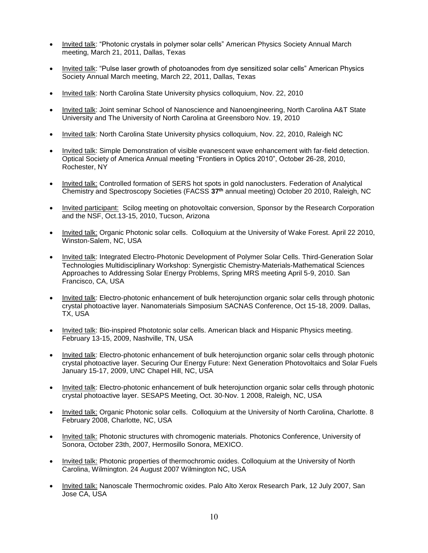- Invited talk: "Photonic crystals in polymer solar cells" American Physics Society Annual March meeting, March 21, 2011, Dallas, Texas
- Invited talk: "Pulse laser growth of photoanodes from dye sensitized solar cells" American Physics Society Annual March meeting, March 22, 2011, Dallas, Texas
- Invited talk: North Carolina State University physics colloquium, Nov. 22, 2010
- Invited talk: Joint seminar School of Nanoscience and Nanoengineering, North Carolina A&T State University and The University of North Carolina at Greensboro Nov. 19, 2010
- Invited talk: North Carolina State University physics colloquium, Nov. 22, 2010, Raleigh NC
- Invited talk: Simple Demonstration of visible evanescent wave enhancement with far-field detection. Optical Society of America Annual meeting "Frontiers in Optics 2010", October 26-28, 2010, Rochester, NY
- Invited talk: Controlled formation of SERS hot spots in gold nanoclusters. Federation of Analytical Chemistry and Spectroscopy Societies (FACSS **37th** annual meeting) October 20 2010, Raleigh, NC
- Invited participant: Scilog meeting on photovoltaic conversion, Sponsor by the Research Corporation and the NSF, Oct.13-15, 2010, Tucson, Arizona
- Invited talk: Organic Photonic solar cells. Colloquium at the University of Wake Forest. April 22 2010, Winston-Salem, NC, USA
- Invited talk: Integrated Electro-Photonic Development of Polymer Solar Cells. Third-Generation Solar Technologies Multidisciplinary Workshop: Synergistic Chemistry-Materials-Mathematical Sciences Approaches to Addressing Solar Energy Problems, Spring MRS meeting April 5-9, 2010. San Francisco, CA, USA
- Invited talk: Electro-photonic enhancement of bulk heterojunction organic solar cells through photonic crystal photoactive layer. Nanomaterials Simposium SACNAS Conference, Oct 15-18, 2009. Dallas, TX, USA
- Invited talk: Bio-inspired Phototonic solar cells. American black and Hispanic Physics meeting. February 13-15, 2009, Nashville, TN, USA
- Invited talk: Electro-photonic enhancement of bulk heterojunction organic solar cells through photonic crystal photoactive layer. Securing Our Energy Future: Next Generation Photovoltaics and Solar Fuels January 15-17, 2009, UNC Chapel Hill, NC, USA
- Invited talk: Electro-photonic enhancement of bulk heterojunction organic solar cells through photonic crystal photoactive layer. SESAPS Meeting, Oct. 30-Nov. 1 2008, Raleigh, NC, USA
- Invited talk: Organic Photonic solar cells. Colloquium at the University of North Carolina, Charlotte. 8 February 2008, Charlotte, NC, USA
- Invited talk: Photonic structures with chromogenic materials. Photonics Conference, University of Sonora, October 23th, 2007, Hermosillo Sonora, MEXICO.
- Invited talk: Photonic properties of thermochromic oxides. Colloquium at the University of North Carolina, Wilmington. 24 August 2007 Wilmington NC, USA
- Invited talk: Nanoscale Thermochromic oxides. Palo Alto Xerox Research Park, 12 July 2007, San Jose CA, USA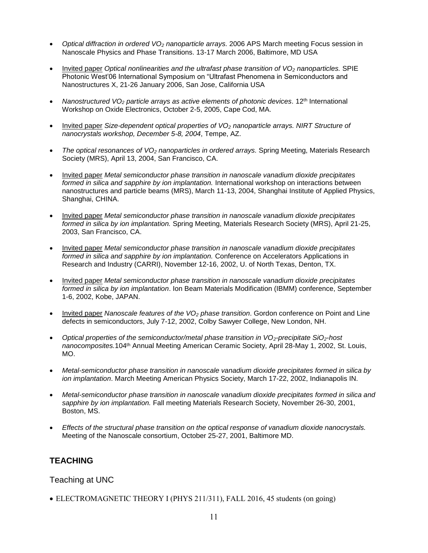- *Optical diffraction in ordered VO<sup>2</sup> nanoparticle arrays.* 2006 APS March meeting Focus session in Nanoscale Physics and Phase Transitions. 13-17 March 2006, Baltimore, MD USA
- Invited paper *Optical nonlinearities and the ultrafast phase transition of VO<sup>2</sup> nanoparticles.* SPIE Photonic West'06 International Symposium on "Ultrafast Phenomena in Semiconductors and Nanostructures X, 21-26 January 2006, San Jose, California USA
- *Nanostructured VO<sup>2</sup> particle arrays as active elements of photonic devices.* 12th International Workshop on Oxide Electronics, October 2-5, 2005, Cape Cod, MA.
- Invited paper *Size-dependent optical properties of VO<sup>2</sup> nanoparticle arrays. NIRT Structure of nanocrystals workshop, December 5-8, 2004*, Tempe, AZ.
- *The optical resonances of VO<sup>2</sup> nanoparticles in ordered arrays.* Spring Meeting, Materials Research Society (MRS), April 13, 2004, San Francisco, CA.
- Invited paper *Metal semiconductor phase transition in nanoscale vanadium dioxide precipitates formed in silica and sapphire by ion implantation.* International workshop on interactions between nanostructures and particle beams (MRS), March 11-13, 2004, Shanghai Institute of Applied Physics, Shanghai, CHINA.
- Invited paper *Metal semiconductor phase transition in nanoscale vanadium dioxide precipitates formed in silica by ion implantation.* Spring Meeting, Materials Research Society (MRS), April 21-25, 2003, San Francisco, CA.
- Invited paper *Metal semiconductor phase transition in nanoscale vanadium dioxide precipitates formed in silica and sapphire by ion implantation.* Conference on Accelerators Applications in Research and Industry (CARRI), November 12-16, 2002, U. of North Texas, Denton, TX.
- Invited paper *Metal semiconductor phase transition in nanoscale vanadium dioxide precipitates formed in silica by ion implantation*. Ion Beam Materials Modification (IBMM) conference, September 1-6, 2002, Kobe, JAPAN.
- Invited paper *Nanoscale features of the VO<sup>2</sup> phase transition*. Gordon conference on Point and Line defects in semiconductors, July 7-12, 2002, Colby Sawyer College, New London, NH.
- *Optical properties of the semiconductor/metal phase transition in VO2-precipitate SiO2-host nanocomposites.*104th Annual Meeting American Ceramic Society, April 28-May 1, 2002, St. Louis, MO.
- *Metal-semiconductor phase transition in nanoscale vanadium dioxide precipitates formed in silica by ion implantation*. March Meeting American Physics Society, March 17-22, 2002, Indianapolis IN.
- *Metal-semiconductor phase transition in nanoscale vanadium dioxide precipitates formed in silica and sapphire by ion implantation.* Fall meeting Materials Research Society, November 26-30, 2001, Boston, MS.
- *Effects of the structural phase transition on the optical response of vanadium dioxide nanocrystals.* Meeting of the Nanoscale consortium, October 25-27, 2001, Baltimore MD.

#### **TEACHING**

Teaching at UNC

• ELECTROMAGNETIC THEORY I (PHYS 211/311), FALL 2016, 45 students (on going)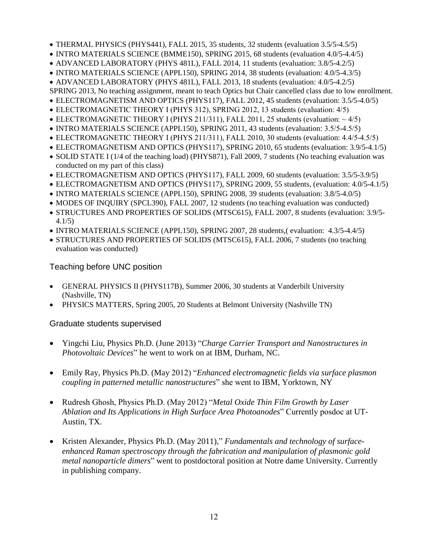- THERMAL PHYSICS (PHYS441), FALL 2015, 35 students, 32 students (evaluation 3.5/5-4.5/5)
- INTRO MATERIALS SCIENCE (BMME150), SPRING 2015, 68 students (evaluation 4.0/5-4.4/5)
- ADVANCED LABORATORY (PHYS 481L), FALL 2014, 11 students (evaluation: 3.8/5-4.2/5)
- INTRO MATERIALS SCIENCE (APPL150), SPRING 2014, 38 students (evaluation: 4.0/5-4.3/5)
- ADVANCED LABORATORY (PHYS 481L), FALL 2013, 18 students (evaluation: 4.0/5-4.2/5)
- SPRING 2013, No teaching assignment, meant to teach Optics but Chair cancelled class due to low enrollment.
- ELECTROMAGNETISM AND OPTICS (PHYS117), FALL 2012, 45 students (evaluation: 3.5/5-4.0/5)
- ELECTROMAGNETIC THEORY I (PHYS 312), SPRING 2012, 13 students (evaluation: 4/5)
- ELECTROMAGNETIC THEORY I (PHYS 211/311), FALL 2011, 25 students (evaluation:  $\sim$  4/5)
- INTRO MATERIALS SCIENCE (APPL150), SPRING 2011, 43 students (evaluation: 3.5/5-4.5/5)
- ELECTROMAGNETIC THEORY I (PHYS 211/311), FALL 2010, 30 students (evaluation: 4.4/5-4.5/5)
- ELECTROMAGNETISM AND OPTICS (PHYS117), SPRING 2010, 65 students (evaluation: 3.9/5-4.1/5)
- SOLID STATE I (1/4 of the teaching load) (PHYS871), Fall 2009, 7 students (No teaching evaluation was conducted on my part of this class)
- ELECTROMAGNETISM AND OPTICS (PHYS117), FALL 2009, 60 students (evaluation: 3.5/5-3.9/5)
- ELECTROMAGNETISM AND OPTICS (PHYS117), SPRING 2009, 55 students, (evaluation: 4.0/5-4.1/5)
- INTRO MATERIALS SCIENCE (APPL150), SPRING 2008, 39 students (evaluation: 3.8/5-4.0/5)
- MODES OF INQUIRY (SPCL390), FALL 2007, 12 students (no teaching evaluation was conducted)
- STRUCTURES AND PROPERTIES OF SOLIDS (MTSC615), FALL 2007, 8 students (evaluation: 3.9/5- 4.1/5)
- INTRO MATERIALS SCIENCE (APPL150), SPRING 2007, 28 students,( evaluation: 4.3/5-4.4/5)
- STRUCTURES AND PROPERTIES OF SOLIDS (MTSC615), FALL 2006, 7 students (no teaching evaluation was conducted)

## Teaching before UNC position

- GENERAL PHYSICS II (PHYS117B), Summer 2006, 30 students at Vanderbilt University (Nashville, TN)
- PHYSICS MATTERS, Spring 2005, 20 Students at Belmont University (Nashville TN)

## Graduate students supervised

- Yingchi Liu, Physics Ph.D. (June 2013) "*Charge Carrier Transport and Nanostructures in Photovoltaic Devices*" he went to work on at IBM, Durham, NC.
- Emily Ray, Physics Ph.D. (May 2012) "*Enhanced electromagnetic fields via surface plasmon coupling in patterned metallic nanostructures*" she went to IBM, Yorktown, NY
- Rudresh Ghosh, Physics Ph.D. (May 2012) "*Metal Oxide Thin Film Growth by Laser Ablation and Its Applications in High Surface Area Photoanodes*" Currently posdoc at UT-Austin, TX.
- Kristen Alexander, Physics Ph.D. (May 2011)," *Fundamentals and technology of surfaceenhanced Raman spectroscopy through the fabrication and manipulation of plasmonic gold metal nanoparticle dimers*" went to postdoctoral position at Notre dame University. Currently in publishing company.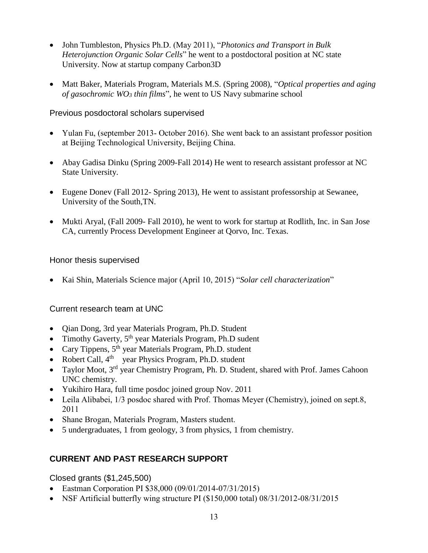- John Tumbleston, Physics Ph.D. (May 2011), "*Photonics and Transport in Bulk Heterojunction Organic Solar Cells*" he went to a postdoctoral position at NC state University. Now at startup company Carbon3D
- Matt Baker, Materials Program, Materials M.S. (Spring 2008), "*Optical properties and aging of gasochromic WO<sup>3</sup> thin films*", he went to US Navy submarine school

#### Previous posdoctoral scholars supervised

- Yulan Fu, (september 2013- October 2016). She went back to an assistant professor position at Beijing Technological University, Beijing China.
- Abay Gadisa Dinku (Spring 2009-Fall 2014) He went to research assistant professor at NC State University.
- Eugene Donev (Fall 2012- Spring 2013), He went to assistant professorship at Sewanee, University of the South,TN.
- Mukti Aryal, (Fall 2009- Fall 2010), he went to work for startup at Rodlith, Inc. in San Jose CA, currently Process Development Engineer at Qorvo, Inc. Texas.

### Honor thesis supervised

• Kai Shin, Materials Science major (April 10, 2015) "*Solar cell characterization*"

## Current research team at UNC

- Qian Dong, 3rd year Materials Program, Ph.D. Student
- Timothy Gaverty, 5<sup>th</sup> year Materials Program, Ph.D sudent
- Cary Tippens, 5<sup>th</sup> year Materials Program, Ph.D. student
- Robert Call, 4<sup>th</sup> year Physics Program, Ph.D. student
- Taylor Moot, 3<sup>rd</sup> year Chemistry Program, Ph. D. Student, shared with Prof. James Cahoon UNC chemistry.
- Yukihiro Hara, full time posdoc joined group Nov. 2011
- Leila Alibabei, 1/3 posdoc shared with Prof. Thomas Meyer (Chemistry), joined on sept.8, 2011
- Shane Brogan, Materials Program, Masters student.
- 5 undergraduates, 1 from geology, 3 from physics, 1 from chemistry.

## **CURRENT AND PAST RESEARCH SUPPORT**

## Closed grants (\$1,245,500)

- Eastman Corporation PI \$38,000 (09/01/2014-07/31/2015)
- NSF Artificial butterfly wing structure PI (\$150,000 total) 08/31/2012-08/31/2015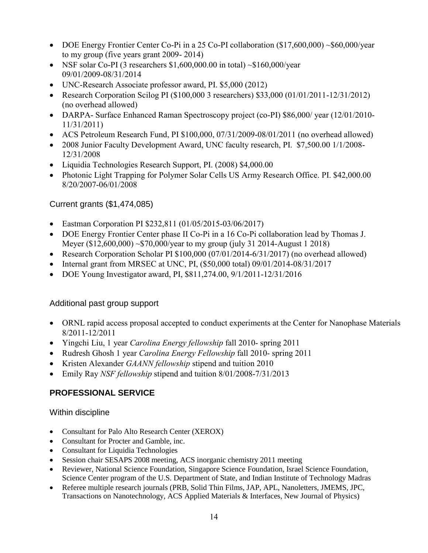- DOE Energy Frontier Center Co-Pi in a 25 Co-PI collaboration (\$17,600,000) ~\$60,000/year to my group (five years grant 2009- 2014)
- NSF solar Co-PI (3 researchers  $$1,600,000.00$  in total)  $\sim $160,000/\text{year}$ 09/01/2009-08/31/2014
- UNC-Research Associate professor award, PI. \$5,000 (2012)
- Research Corporation Scilog PI (\$100,000 3 researchers) \$33,000 (01/01/2011-12/31/2012) (no overhead allowed)
- DARPA- Surface Enhanced Raman Spectroscopy project (co-PI) \$86,000/ year (12/01/2010- 11/31/2011)
- ACS Petroleum Research Fund, PI \$100,000, 07/31/2009-08/01/2011 (no overhead allowed)
- 2008 Junior Faculty Development Award, UNC faculty research, PI. \$7,500.00 1/1/2008-12/31/2008
- Liquidia Technologies Research Support, PI. (2008) \$4,000.00
- Photonic Light Trapping for Polymer Solar Cells US Army Research Office. PI. \$42,000.00 8/20/2007-06/01/2008

# Current grants (\$1,474,085)

- Eastman Corporation PI \$232,811 (01/05/2015-03/06/2017)
- DOE Energy Frontier Center phase II Co-Pi in a 16 Co-Pi collaboration lead by Thomas J. Meyer (\$12,600,000) ~\$70,000/year to my group (july 31 2014-August 1 2018)
- Research Corporation Scholar PI \$100,000 (07/01/2014-6/31/2017) (no overhead allowed)
- Internal grant from MRSEC at UNC, PI, (\$50,000 total) 09/01/2014-08/31/2017
- DOE Young Investigator award, PI, \$811,274.00, 9/1/2011-12/31/2016

## Additional past group support

- ORNL rapid access proposal accepted to conduct experiments at the Center for Nanophase Materials 8/2011-12/2011
- Yingchi Liu, 1 year *Carolina Energy fellowship* fall 2010- spring 2011
- Rudresh Ghosh 1 year *Carolina Energy Fellowship* fall 2010- spring 2011
- Kristen Alexander *GAANN fellowship* stipend and tuition 2010
- Emily Ray *NSF fellowship* stipend and tuition 8/01/2008-7/31/2013

# **PROFESSIONAL SERVICE**

#### Within discipline

- Consultant for Palo Alto Research Center (XEROX)
- Consultant for Procter and Gamble, inc.
- Consultant for Liquidia Technologies
- Session chair SESAPS 2008 meeting, ACS inorganic chemistry 2011 meeting
- Reviewer, National Science Foundation, Singapore Science Foundation, Israel Science Foundation, Science Center program of the U.S. Department of State, and Indian Institute of Technology Madras
- Referee multiple research journals (PRB, Solid Thin Films, JAP, APL, Nanoletters, JMEMS, JPC, Transactions on Nanotechnology, ACS Applied Materials & Interfaces, New Journal of Physics)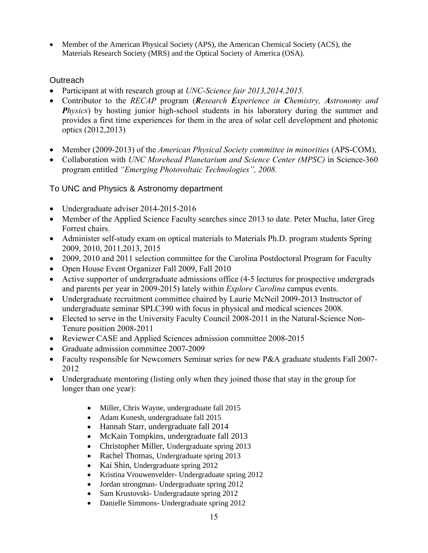• Member of the American Physical Society (APS), the American Chemical Society (ACS), the Materials Research Society (MRS) and the Optical Society of America (OSA).

### **Outreach**

- Participant at with research group at *UNC-Science fair 2013,2014,2015.*
- Contributor to the *RECAP* program (*Research Experience in Chemistry, Astronomy and Physics*) by hosting junior high-school students in his laboratory during the summer and provides a first time experiences for them in the area of solar cell development and photonic optics (2012,2013)
- Member (2009-2013) of the *American Physical Society committee in minorities* (APS-COM),
- Collaboration with *UNC Morehead Planetarium and Science Center (MPSC)* in Science-360 program entitled *"Emerging Photovoltaic Technologies", 2008.*

### To UNC and Physics & Astronomy department

- Undergraduate adviser 2014-2015-2016
- Member of the Applied Science Faculty searches since 2013 to date. Peter Mucha, later Greg Forrest chairs.
- Administer self-study exam on optical materials to Materials Ph.D. program students Spring 2009, 2010, 2011,2013, 2015
- 2009, 2010 and 2011 selection committee for the Carolina Postdoctoral Program for Faculty
- Open House Event Organizer Fall 2009, Fall 2010
- Active supporter of undergraduate admissions office (4-5 lectures for prospective undergrads and parents per year in 2009-2015) lately within *Explore Carolina* campus events.
- Undergraduate recruitment committee chaired by Laurie McNeil 2009-2013 Instructor of undergraduate seminar SPLC390 with focus in physical and medical sciences 2008.
- Elected to serve in the University Faculty Council 2008-2011 in the Natural-Science Non-Tenure position 2008-2011
- Reviewer CASE and Applied Sciences admission committee 2008-2015
- Graduate admission committee 2007-2009
- Faculty responsible for Newcomers Seminar series for new P&A graduate students Fall 2007-2012
- Undergraduate mentoring (listing only when they joined those that stay in the group for longer than one year):
	- Miller, Chris Wayne, undergraduate fall 2015
	- Adam Kunesh, undergraduate fall 2015
	- Hannah Starr, undergraduate fall 2014
	- McKain Tompkins, undergraduate fall 2013
	- Christopher Miller, Undergraduate spring 2013
	- Rachel Thomas, Undergraduate spring 2013
	- Kai Shin, Undergraduate spring 2012
	- Kristina Vrouwenvelder- Undergraduate spring 2012
	- Jordan strongman- Undergraduate spring 2012
	- Sam Krustovski- Undergradaute spring 2012
	- Danielle Simmons- Undergraduate spring 2012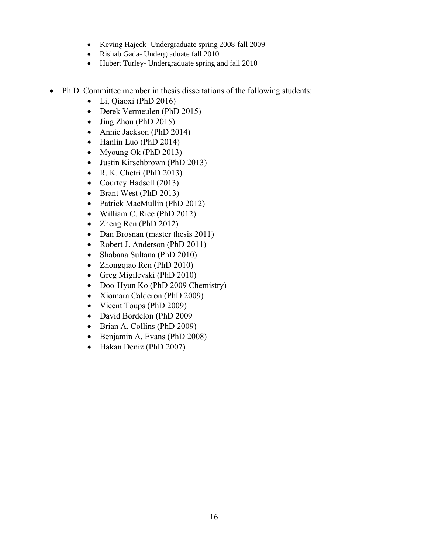- Keving Hajeck- Undergraduate spring 2008-fall 2009
- Rishab Gada- Undergraduate fall 2010
- Hubert Turley- Undergraduate spring and fall 2010
- Ph.D. Committee member in thesis dissertations of the following students:
	- Li, Qiaoxi (PhD 2016)
	- Derek Vermeulen (PhD 2015)
	- Jing Zhou (PhD 2015)
	- Annie Jackson (PhD 2014)
	- Hanlin Luo (PhD 2014)
	- Myoung Ok (PhD 2013)
	- Justin Kirschbrown (PhD 2013)
	- R. K. Chetri (PhD 2013)
	- Courtey Hadsell (2013)
	- Brant West (PhD 2013)
	- Patrick MacMullin (PhD 2012)
	- William C. Rice (PhD 2012)
	- Zheng Ren (PhD 2012)
	- Dan Brosnan (master thesis 2011)
	- Robert J. Anderson (PhD 2011)
	- Shabana Sultana (PhD 2010)
	- Zhongqiao Ren (PhD 2010)
	- Greg Migilevski (PhD 2010)
	- Doo-Hyun Ko (PhD 2009 Chemistry)
	- Xiomara Calderon (PhD 2009)
	- Vicent Toups (PhD 2009)
	- David Bordelon (PhD 2009
	- Brian A. Collins (PhD 2009)
	- Benjamin A. Evans (PhD 2008)
	- Hakan Deniz (PhD 2007)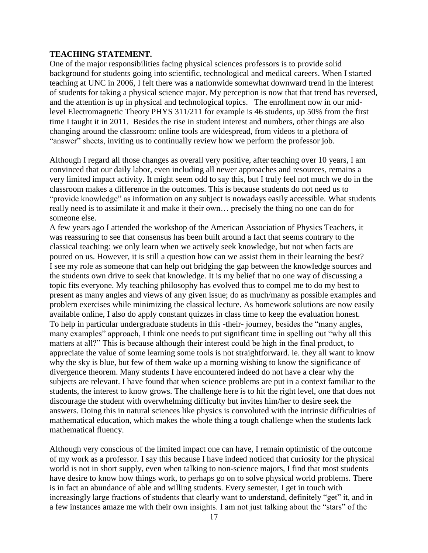#### **TEACHING STATEMENT.**

One of the major responsibilities facing physical sciences professors is to provide solid background for students going into scientific, technological and medical careers. When I started teaching at UNC in 2006, I felt there was a nationwide somewhat downward trend in the interest of students for taking a physical science major. My perception is now that that trend has reversed, and the attention is up in physical and technological topics. The enrollment now in our midlevel Electromagnetic Theory PHYS 311/211 for example is 46 students, up 50% from the first time I taught it in 2011. Besides the rise in student interest and numbers, other things are also changing around the classroom: online tools are widespread, from videos to a plethora of "answer" sheets, inviting us to continually review how we perform the professor job.

Although I regard all those changes as overall very positive, after teaching over 10 years, I am convinced that our daily labor, even including all newer approaches and resources, remains a very limited impact activity. It might seem odd to say this, but I truly feel not much we do in the classroom makes a difference in the outcomes. This is because students do not need us to "provide knowledge" as information on any subject is nowadays easily accessible. What students really need is to assimilate it and make it their own… precisely the thing no one can do for someone else.

A few years ago I attended the workshop of the American Association of Physics Teachers, it was reassuring to see that consensus has been built around a fact that seems contrary to the classical teaching: we only learn when we actively seek knowledge, but not when facts are poured on us. However, it is still a question how can we assist them in their learning the best? I see my role as someone that can help out bridging the gap between the knowledge sources and the students own drive to seek that knowledge. It is my belief that no one way of discussing a topic fits everyone. My teaching philosophy has evolved thus to compel me to do my best to present as many angles and views of any given issue; do as much/many as possible examples and problem exercises while minimizing the classical lecture. As homework solutions are now easily available online, I also do apply constant quizzes in class time to keep the evaluation honest. To help in particular undergraduate students in this -their- journey, besides the "many angles, many examples" approach, I think one needs to put significant time in spelling out "why all this matters at all?" This is because although their interest could be high in the final product, to appreciate the value of some learning some tools is not straightforward. ie. they all want to know why the sky is blue, but few of them wake up a morning wishing to know the significance of divergence theorem. Many students I have encountered indeed do not have a clear why the subjects are relevant. I have found that when science problems are put in a context familiar to the students, the interest to know grows. The challenge here is to hit the right level, one that does not discourage the student with overwhelming difficulty but invites him/her to desire seek the answers. Doing this in natural sciences like physics is convoluted with the intrinsic difficulties of mathematical education, which makes the whole thing a tough challenge when the students lack mathematical fluency.

Although very conscious of the limited impact one can have, I remain optimistic of the outcome of my work as a professor. I say this because I have indeed noticed that curiosity for the physical world is not in short supply, even when talking to non-science majors, I find that most students have desire to know how things work, to perhaps go on to solve physical world problems. There is in fact an abundance of able and willing students. Every semester, I get in touch with increasingly large fractions of students that clearly want to understand, definitely "get" it, and in a few instances amaze me with their own insights. I am not just talking about the "stars" of the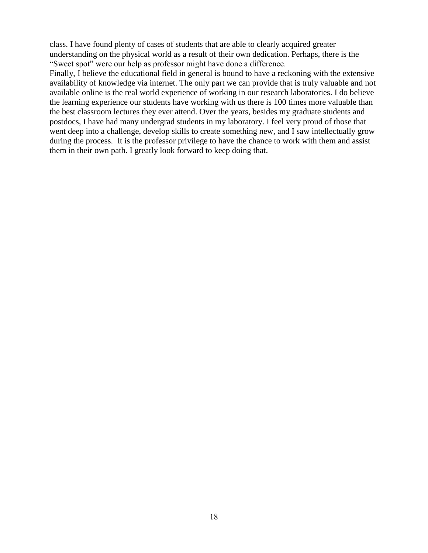class. I have found plenty of cases of students that are able to clearly acquired greater understanding on the physical world as a result of their own dedication. Perhaps, there is the "Sweet spot" were our help as professor might have done a difference.

Finally, I believe the educational field in general is bound to have a reckoning with the extensive availability of knowledge via internet. The only part we can provide that is truly valuable and not available online is the real world experience of working in our research laboratories. I do believe the learning experience our students have working with us there is 100 times more valuable than the best classroom lectures they ever attend. Over the years, besides my graduate students and postdocs, I have had many undergrad students in my laboratory. I feel very proud of those that went deep into a challenge, develop skills to create something new, and I saw intellectually grow during the process. It is the professor privilege to have the chance to work with them and assist them in their own path. I greatly look forward to keep doing that.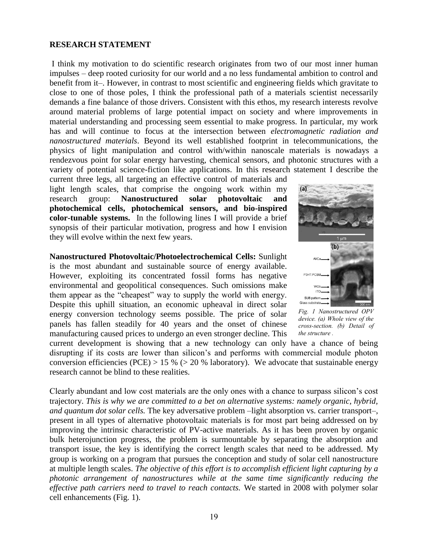#### **RESEARCH STATEMENT**

I think my motivation to do scientific research originates from two of our most inner human impulses – deep rooted curiosity for our world and a no less fundamental ambition to control and benefit from it–. However, in contrast to most scientific and engineering fields which gravitate to close to one of those poles, I think the professional path of a materials scientist necessarily demands a fine balance of those drivers. Consistent with this ethos, my research interests revolve around material problems of large potential impact on society and where improvements in material understanding and processing seem essential to make progress. In particular, my work has and will continue to focus at the intersection between *electromagnetic radiation and nanostructured materials*. Beyond its well established footprint in telecommunications, the physics of light manipulation and control with/within nanoscale materials is nowadays a rendezvous point for solar energy harvesting, chemical sensors, and photonic structures with a variety of potential science-fiction like applications. In this research statement I describe the

current three legs, all targeting an effective control of materials and light length scales, that comprise the ongoing work within my research group: **Nanostructured solar photovoltaic and photochemical cells, photochemical sensors, and bio-inspired color-tunable systems.** In the following lines I will provide a brief synopsis of their particular motivation, progress and how I envision they will evolve within the next few years.

**Nanostructured Photovoltaic/Photoelectrochemical Cells:** Sunlight is the most abundant and sustainable source of energy available. However, exploiting its concentrated fossil forms has negative environmental and geopolitical consequences. Such omissions make them appear as the "cheapest" way to supply the world with energy. Despite this uphill situation, an economic upheaval in direct solar energy conversion technology seems possible. The price of solar panels has fallen steadily for 40 years and the onset of chinese manufacturing caused prices to undergo an even stronger decline. This



*Fig. 1 Nanostructured OPV device. (a) Whole view of the cross-section. (b) Detail of the structure .*

current development is showing that a new technology can only have a chance of being disrupting if its costs are lower than silicon's and performs with commercial module photon conversion efficiencies (PCE) > 15 % ( $>$  20 % laboratory). We advocate that sustainable energy research cannot be blind to these realities.

Clearly abundant and low cost materials are the only ones with a chance to surpass silicon's cost trajectory. *This is why we are committed to a bet on alternative systems: namely organic, hybrid, and quantum dot solar cells.* The key adversative problem –light absorption vs. carrier transport–, present in all types of alternative photovoltaic materials is for most part being addressed on by improving the intrinsic characteristic of PV-active materials. As it has been proven by organic bulk heterojunction progress, the problem is surmountable by separating the absorption and transport issue, the key is identifying the correct length scales that need to be addressed. My group is working on a program that pursues the conception and study of solar cell nanostructure at multiple length scales. *The objective of this effort is to accomplish efficient light capturing by a photonic arrangement of nanostructures while at the same time significantly reducing the effective path carriers need to travel to reach contacts.* We started in 2008 with polymer solar cell enhancements (Fig. 1).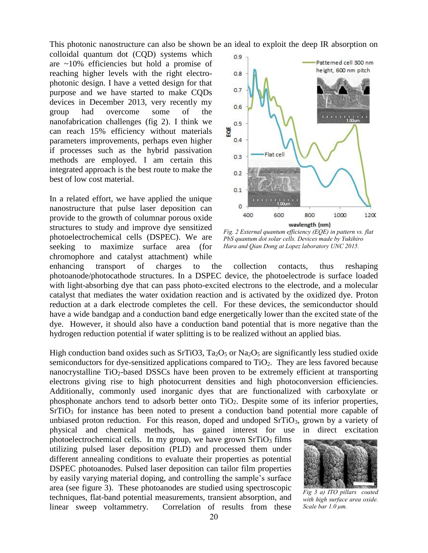This photonic nanostructure can also be shown be an ideal to exploit the deep IR absorption on

colloidal quantum dot (CQD) systems which are ~10% efficiencies but hold a promise of reaching higher levels with the right electrophotonic design. I have a vetted design for that purpose and we have started to make CQDs devices in December 2013, very recently my group had overcome some of the nanofabrication challenges (fig 2). I think we can reach 15% efficiency without materials parameters improvements, perhaps even higher if processes such as the hybrid passivation methods are employed. I am certain this integrated approach is the best route to make the best of low cost material.

In a related effort, we have applied the unique nanostructure that pulse laser deposition can provide to the growth of columnar porous oxide structures to study and improve dye sensitized photoelectrochemical cells (DSPEC). We are seeking to maximize surface area (for chromophore and catalyst attachment) while



*Fig. 2 External quantum efficiency (EQE) in pattern vs. flat PbS quantum dot solar cells. Devices made by Yukihiro Hara and Qian Dong at Lopez laboratory UNC 2015.*

enhancing transport of charges to the collection contacts, thus reshaping photoanode/photocathode structures. In a DSPEC device, the photoelectrode is surface loaded with light-absorbing dye that can pass photo-excited electrons to the electrode, and a molecular catalyst that mediates the water oxidation reaction and is activated by the oxidized dye. Proton reduction at a dark electrode completes the cell. For these devices, the semiconductor should have a wide bandgap and a conduction band edge energetically lower than the excited state of the dye. However, it should also have a conduction band potential that is more negative than the hydrogen reduction potential if water splitting is to be realized without an applied bias.

High conduction band oxides such as SrTiO3,  $Ta_2O_5$  or Na<sub>2</sub>O<sub>5</sub> are significantly less studied oxide semiconductors for dye-sensitized applications compared to TiO2. They are less favored because nanocrystalline TiO2-based DSSCs have been proven to be extremely efficient at transporting electrons giving rise to high photocurrent densities and high photoconversion efficiencies. Additionally, commonly used inorganic dyes that are functionalized with carboxylate or phosphonate anchors tend to adsorb better onto TiO2. Despite some of its inferior properties, SrTiO<sub>3</sub> for instance has been noted to present a conduction band potential more capable of unbiased proton reduction. For this reason, doped and undoped  $S<sub>T</sub>$  rio<sub>3</sub>, grown by a variety of physical and chemical methods, has gained interest for use in direct excitation

photoelectrochemical cells. In my group, we have grown  $SrTiO<sub>3</sub>$  films utilizing pulsed laser deposition (PLD) and processed them under different annealing conditions to evaluate their properties as potential DSPEC photoanodes. Pulsed laser deposition can tailor film properties by easily varying material doping, and controlling the sample's surface area (see figure 3). These photoanodes are studied using spectroscopic techniques, flat-band potential measurements, transient absorption, and linear sweep voltammetry. Correlation of results from these



*Fig 3 a) ITO pillars coated with high surface area oxide. Scale bar 1.0 μm.*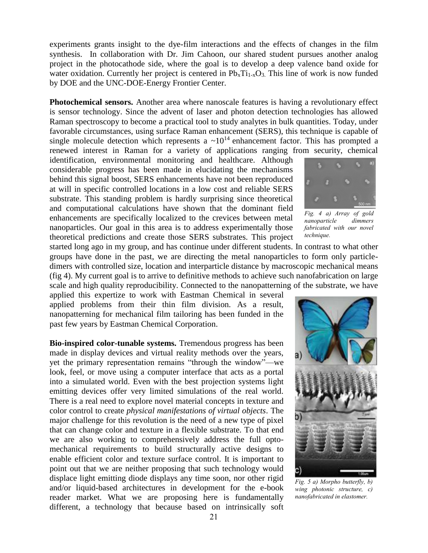experiments grants insight to the dye-film interactions and the effects of changes in the film synthesis. In collaboration with Dr. Jim Cahoon, our shared student pursues another analog project in the photocathode side, where the goal is to develop a deep valence band oxide for water oxidation. Currently her project is centered in  $Pb_xTi_{1-x}O_3$ . This line of work is now funded by DOE and the UNC-DOE-Energy Frontier Center.

**Photochemical sensors.** Another area where nanoscale features is having a revolutionary effect is sensor technology. Since the advent of laser and photon detection technologies has allowed Raman spectroscopy to become a practical tool to study analytes in bulk quantities. Today, under favorable circumstances, using surface Raman enhancement (SERS), this technique is capable of single molecule detection which represents a  $\sim 10^{14}$  enhancement factor. This has prompted a renewed interest in Raman for a variety of applications ranging from security, chemical

identification, environmental monitoring and healthcare. Although considerable progress has been made in elucidating the mechanisms behind this signal boost, SERS enhancements have not been reproduced at will in specific controlled locations in a low cost and reliable SERS substrate. This standing problem is hardly surprising since theoretical and computational calculations have shown that the dominant field enhancements are specifically localized to the crevices between metal nanoparticles. Our goal in this area is to address experimentally those theoretical predictions and create those SERS substrates. This project

started long ago in my group, and has continue under different students. In contrast to what other groups have done in the past, we are directing the metal nanoparticles to form only particledimers with controlled size, location and interparticle distance by macroscopic mechanical means (fig 4). My current goal is to arrive to definitive methods to achieve such nanofabrication on large scale and high quality reproducibility. Connected to the nanopatterning of the substrate, we have

applied this expertize to work with Eastman Chemical in several applied problems from their thin film division. As a result, nanopatterning for mechanical film tailoring has been funded in the past few years by Eastman Chemical Corporation.

**Bio-inspired color-tunable systems.** Tremendous progress has been made in display devices and virtual reality methods over the years, yet the primary representation remains "through the window"—we look, feel, or move using a computer interface that acts as a portal into a simulated world. Even with the best projection systems light emitting devices offer very limited simulations of the real world. There is a real need to explore novel material concepts in texture and color control to create *physical manifestations of virtual objects*. The major challenge for this revolution is the need of a new type of pixel that can change color and texture in a flexible substrate. To that end we are also working to comprehensively address the full optomechanical requirements to build structurally active designs to enable efficient color and texture surface control. It is important to point out that we are neither proposing that such technology would displace light emitting diode displays any time soon, nor other rigid and/or liquid-based architectures in development for the e-book reader market. What we are proposing here is fundamentally different, a technology that because based on intrinsically soft



*Fig. 4 a) Array of gold nanoparticle dimmers fabricated with our novel technique.*



*Fig. 5 a) Morpho butterfly, b) wing photonic structure, c) nanofabricated in elastomer.*